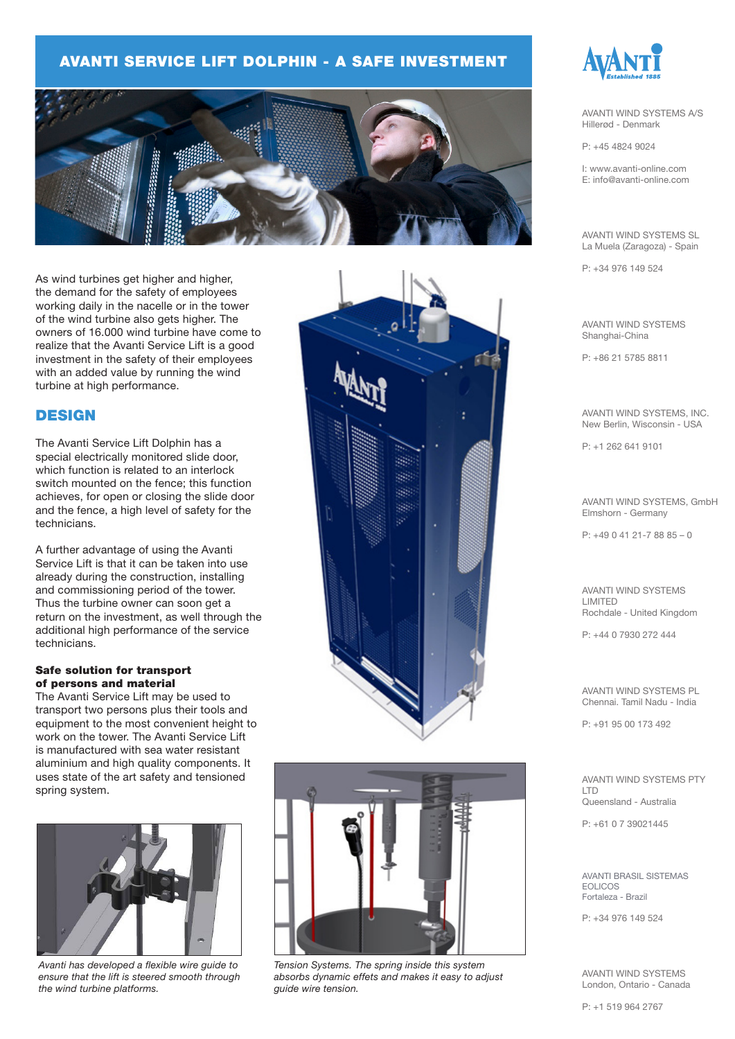### AVANTI SERVICE LIFT DOLPHIN - A SAFE INVESTMENT



As wind turbines get higher and higher, the demand for the safety of employees working daily in the nacelle or in the tower of the wind turbine also gets higher. The owners of 16.000 wind turbine have come to realize that the Avanti Service Lift is a good investment in the safety of their employees with an added value by running the wind turbine at high performance.

### **DESIGN**

The Avanti Service Lift Dolphin has a special electrically monitored slide door, which function is related to an interlock switch mounted on the fence; this function achieves, for open or closing the slide door and the fence, a high level of safety for the technicians.

A further advantage of using the Avanti Service Lift is that it can be taken into use already during the construction, installing and commissioning period of the tower. Thus the turbine owner can soon get a return on the investment, as well through the additional high performance of the service technicians.

#### Safe solution for transport of persons and material

The Avanti Service Lift may be used to transport two persons plus their tools and equipment to the most convenient height to work on the tower. The Avanti Service Lift is manufactured with sea water resistant aluminium and high quality components. It uses state of the art safety and tensioned spring system.



*Avanti has developed a flexible wire guide to ensure that the lift is steered smooth through the wind turbine platforms.*





*Tension Systems. The spring inside this system absorbs dynamic effets and makes it easy to adjust guide wire tension.*



AVANTI WIND SYSTEMS A/S Hillerød - Denmark

P: +45 4824 9024

I: www.avanti-online.com E: info@avanti-online.com

AVANTI WIND SYSTEMS SL La Muela (Zaragoza) - Spain

P: +34 976 149 524

AVANTI WIND SYSTEMS Shanghai-China

P: +86 21 5785 8811

AVANTI WIND SYSTEMS, INC. New Berlin, Wisconsin - USA

P: +1 262 641 9101

AVANTI WIND SYSTEMS, GmbH Elmshorn - Germany

 $P: +4904121-78885 - 0$ 

AVANTI WIND SYSTEMS LIMITED Rochdale - United Kingdom

P: +44 0 7930 272 444

AVANTI WIND SYSTEMS PL Chennai. Tamil Nadu - India

P: +91 95 00 173 492

AVANTI WIND SYSTEMS PTY LTD Queensland - Australia

P: +61 0 7 39021445

AVANTI BRASIL SISTEMAS EOLICOS Fortaleza - Brazil

P: +34 976 149 524

AVANTI WIND SYSTEMS London, Ontario - Canada

P: +1 519 964 2767